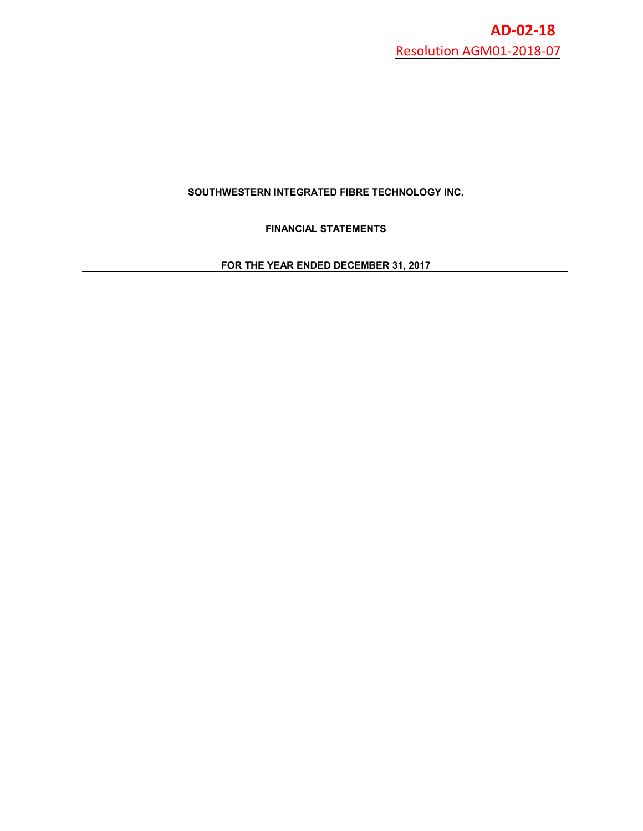# **SOUTHWESTERN INTEGRATED FIBRE TECHNOLOGY INC.**

**FINANCIAL STATEMENTS**

**FOR THE YEAR ENDED DECEMBER 31, 2017**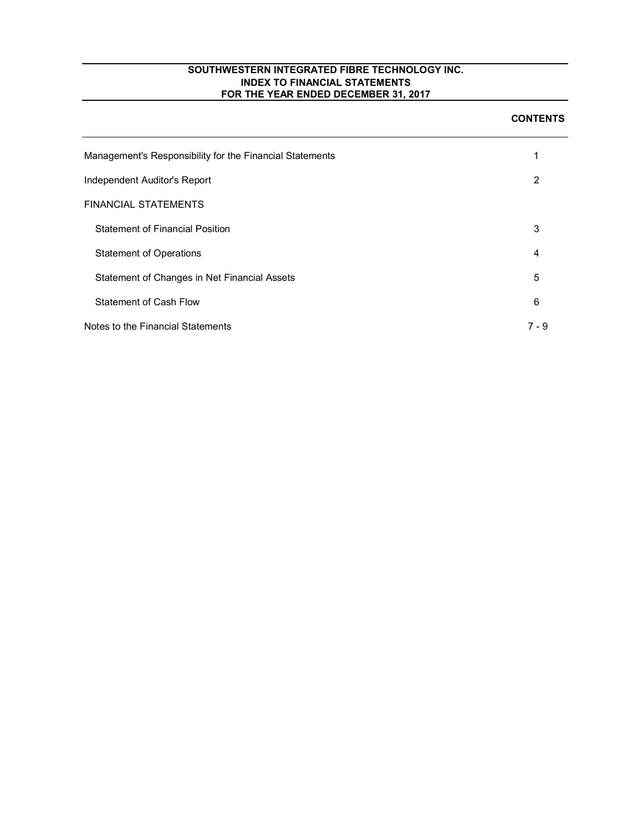# **SOUTHWESTERN INTEGRATED FIBRE TECHNOLOGY INC. INDEX TO FINANCIAL STATEMENTS FOR THE YEAR ENDED DECEMBER 31, 2017**

#### **CONTENTS**

| Management's Responsibility for the Financial Statements |                |
|----------------------------------------------------------|----------------|
| Independent Auditor's Report                             | 2              |
| FINANCIAL STATEMENTS                                     |                |
| <b>Statement of Financial Position</b>                   | 3              |
| <b>Statement of Operations</b>                           | $\overline{4}$ |
| Statement of Changes in Net Financial Assets             | 5              |
| Statement of Cash Flow                                   | 6              |
| Notes to the Financial Statements                        | $7 - 9$        |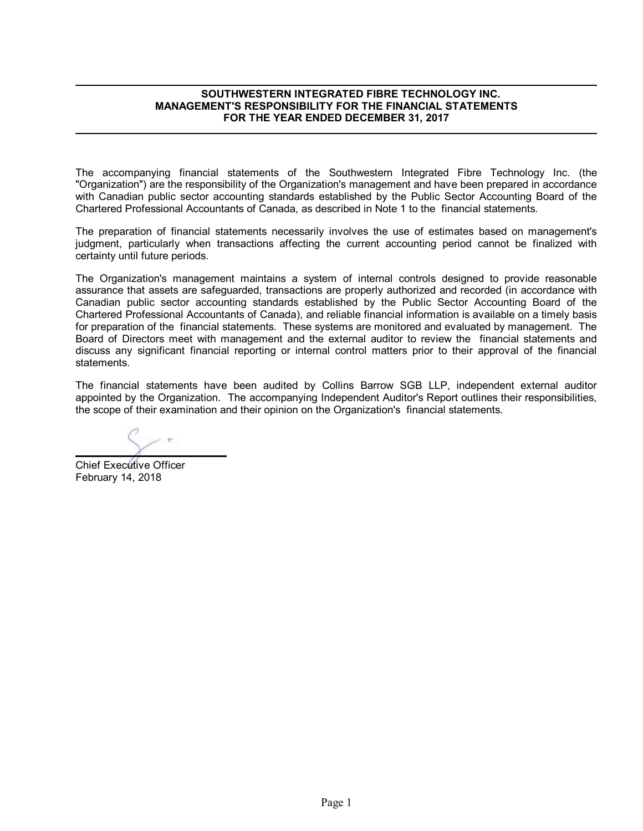## **SOUTHWESTERN INTEGRATED FIBRE TECHNOLOGY INC. MANAGEMENT'S RESPONSIBILITY FOR THE FINANCIAL STATEMENTS FOR THE YEAR ENDED DECEMBER 31, 2017**

The accompanying financial statements of the Southwestern Integrated Fibre Technology Inc. (the "Organization") are the responsibility of the Organization's management and have been prepared in accordance with Canadian public sector accounting standards established by the Public Sector Accounting Board of the Chartered Professional Accountants of Canada, as described in Note 1 to the financial statements.

The preparation of financial statements necessarily involves the use of estimates based on management's judgment, particularly when transactions affecting the current accounting period cannot be finalized with certainty until future periods.

The Organization's management maintains a system of internal controls designed to provide reasonable assurance that assets are safeguarded, transactions are properly authorized and recorded (in accordance with Canadian public sector accounting standards established by the Public Sector Accounting Board of the Chartered Professional Accountants of Canada), and reliable financial information is available on a timely basis for preparation of the financial statements. These systems are monitored and evaluated by management. The Board of Directors meet with management and the external auditor to review the financial statements and discuss any significant financial reporting or internal control matters prior to their approval of the financial statements.

The financial statements have been audited by Collins Barrow SGB LLP, independent external auditor appointed by the Organization. The accompanying Independent Auditor's Report outlines their responsibilities, the scope of their examination and their opinion on the Organization's financial statements.

Chief Executive Officer February 14, 2018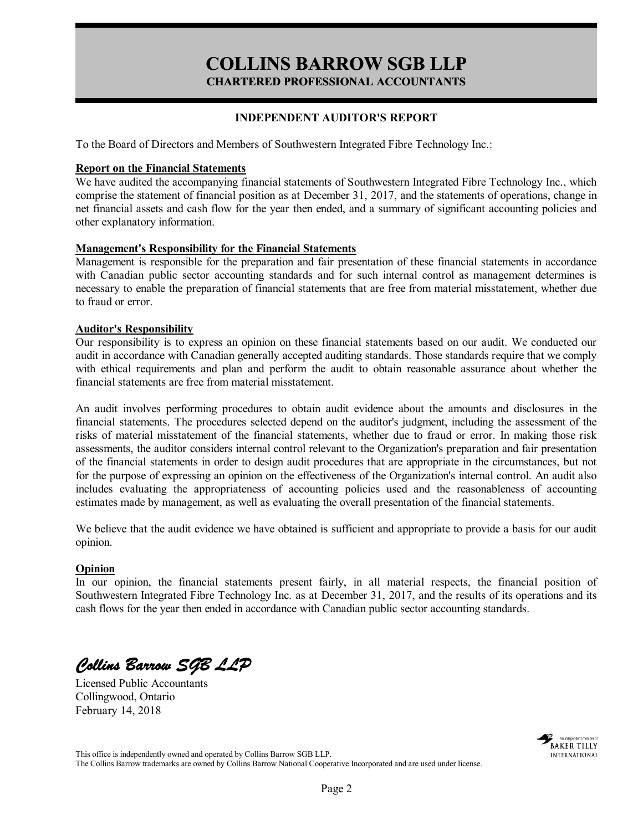# **COLLINS BARROW SGB LLP CHARTERED PROFESSIONAL ACCOUNTANTS**

# **INDEPENDENT AUDITOR'S REPORT**

To the Board of Directors and Members of Southwestern Integrated Fibre Technology Inc.:

# **Report on the Financial Statements**

We have audited the accompanying financial statements of Southwestern Integrated Fibre Technology Inc., which comprise the statement of financial position as at December 31, 2017, and the statements of operations, change in net financial assets and cash flow for the year then ended, and a summary of significant accounting policies and other explanatory information.

# **Management's Responsibility for the Financial Statements**

Management is responsible for the preparation and fair presentation of these financial statements in accordance with Canadian public sector accounting standards and for such internal control as management determines is necessary to enable the preparation of financial statements that are free from material misstatement, whether due to fraud or error.

# **Auditor's Responsibility**

Our responsibility is to express an opinion on these financial statements based on our audit. We conducted our audit in accordance with Canadian generally accepted auditing standards. Those standards require that we comply with ethical requirements and plan and perform the audit to obtain reasonable assurance about whether the financial statements are free from material misstatement.

An audit involves performing procedures to obtain audit evidence about the amounts and disclosures in the financial statements. The procedures selected depend on the auditor's judgment, including the assessment of the risks of material misstatement of the financial statements, whether due to fraud or error. In making those risk assessments, the auditor considers internal control relevant to the Organization's preparation and fair presentation of the financial statements in order to design audit procedures that are appropriate in the circumstances, but not for the purpose of expressing an opinion on the effectiveness of the Organization's internal control. An audit also includes evaluating the appropriateness of accounting policies used and the reasonableness of accounting estimates made by management, as well as evaluating the overall presentation of the financial statements.

We believe that the audit evidence we have obtained is sufficient and appropriate to provide a basis for our audit opinion.

### **Opinion**

In our opinion, the financial statements present fairly, in all material respects, the financial position of Southwestern Integrated Fibre Technology Inc. as at December 31, 2017, and the results of its operations and its cash flows for the year then ended in accordance with Canadian public sector accounting standards.

*Collins Barrow SGB LLP*

Licensed Public Accountants Collingwood, Ontario February 14, 2018



This office is independently owned and operated by Collins Barrow SGB LLP. The Collins Barrow trademarks are owned by Collins Barrow National Cooperative Incorporated and are used under license.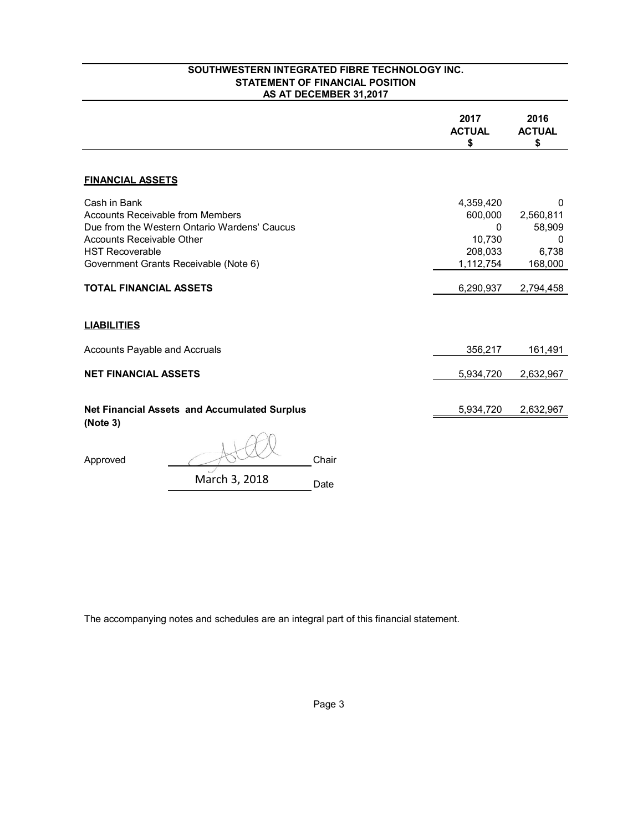# **SOUTHWESTERN INTEGRATED FIBRE TECHNOLOGY INC. STATEMENT OF FINANCIAL POSITION AS AT DECEMBER 31,2017**

|                                                                                                                                                                                                                | 2017<br><b>ACTUAL</b><br>\$                                        | 2016<br><b>ACTUAL</b><br>\$                       |
|----------------------------------------------------------------------------------------------------------------------------------------------------------------------------------------------------------------|--------------------------------------------------------------------|---------------------------------------------------|
| <b>FINANCIAL ASSETS</b>                                                                                                                                                                                        |                                                                    |                                                   |
| Cash in Bank<br><b>Accounts Receivable from Members</b><br>Due from the Western Ontario Wardens' Caucus<br><b>Accounts Receivable Other</b><br><b>HST Recoverable</b><br>Government Grants Receivable (Note 6) | 4,359,420<br>600,000<br>$\Omega$<br>10,730<br>208,033<br>1,112,754 | 0<br>2,560,811<br>58,909<br>0<br>6,738<br>168,000 |
| <b>TOTAL FINANCIAL ASSETS</b>                                                                                                                                                                                  | 6,290,937                                                          | 2,794,458                                         |
| <b>LIABILITIES</b><br>Accounts Payable and Accruals                                                                                                                                                            | 356,217                                                            | 161,491                                           |
| <b>NET FINANCIAL ASSETS</b>                                                                                                                                                                                    | 5,934,720                                                          | 2,632,967                                         |
| Net Financial Assets and Accumulated Surplus<br>(Note 3)                                                                                                                                                       | 5,934,720                                                          | 2,632,967                                         |
| Chair<br>Approved<br>March 3, 2018<br>Date                                                                                                                                                                     |                                                                    |                                                   |

The accompanying notes and schedules are an integral part of this financial statement.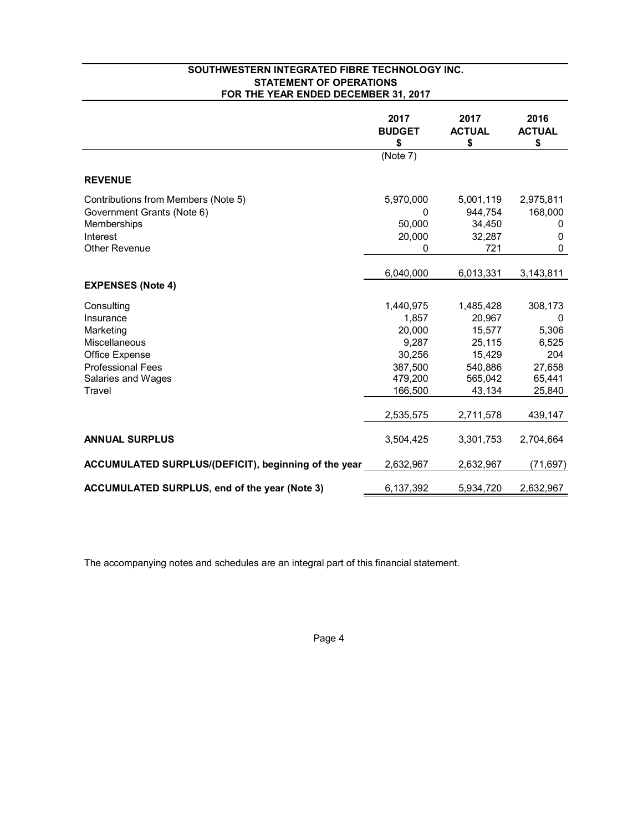# **SOUTHWESTERN INTEGRATED FIBRE TECHNOLOGY INC. STATEMENT OF OPERATIONS FOR THE YEAR ENDED DECEMBER 31, 2017**

|                                                                                                                                            | 2017<br><b>BUDGET</b><br>\$                                                                   | 2017<br><b>ACTUAL</b><br>\$                                                                    | 2016<br><b>ACTUAL</b><br>\$                                                    |
|--------------------------------------------------------------------------------------------------------------------------------------------|-----------------------------------------------------------------------------------------------|------------------------------------------------------------------------------------------------|--------------------------------------------------------------------------------|
|                                                                                                                                            | (Note 7)                                                                                      |                                                                                                |                                                                                |
| <b>REVENUE</b>                                                                                                                             |                                                                                               |                                                                                                |                                                                                |
| Contributions from Members (Note 5)<br>Government Grants (Note 6)<br>Memberships<br>Interest<br><b>Other Revenue</b>                       | 5,970,000<br>0<br>50.000<br>20,000<br>0                                                       | 5,001,119<br>944,754<br>34,450<br>32,287<br>721                                                | 2,975,811<br>168,000<br>0<br>0<br>$\mathbf 0$                                  |
|                                                                                                                                            | 6,040,000                                                                                     | 6,013,331                                                                                      | 3,143,811                                                                      |
| <b>EXPENSES (Note 4)</b>                                                                                                                   |                                                                                               |                                                                                                |                                                                                |
| Consulting<br>Insurance<br>Marketing<br><b>Miscellaneous</b><br>Office Expense<br><b>Professional Fees</b><br>Salaries and Wages<br>Travel | 1,440,975<br>1,857<br>20,000<br>9,287<br>30,256<br>387,500<br>479,200<br>166,500<br>2,535,575 | 1,485,428<br>20,967<br>15,577<br>25,115<br>15,429<br>540,886<br>565,042<br>43,134<br>2,711,578 | 308,173<br>0<br>5,306<br>6,525<br>204<br>27,658<br>65,441<br>25,840<br>439,147 |
| <b>ANNUAL SURPLUS</b>                                                                                                                      | 3,504,425                                                                                     | 3,301,753                                                                                      | 2,704,664                                                                      |
| ACCUMULATED SURPLUS/(DEFICIT), beginning of the year                                                                                       | 2,632,967                                                                                     | 2,632,967                                                                                      | (71, 697)                                                                      |
| ACCUMULATED SURPLUS, end of the year (Note 3)                                                                                              | 6,137,392                                                                                     | 5,934,720                                                                                      | 2,632,967                                                                      |

The accompanying notes and schedules are an integral part of this financial statement.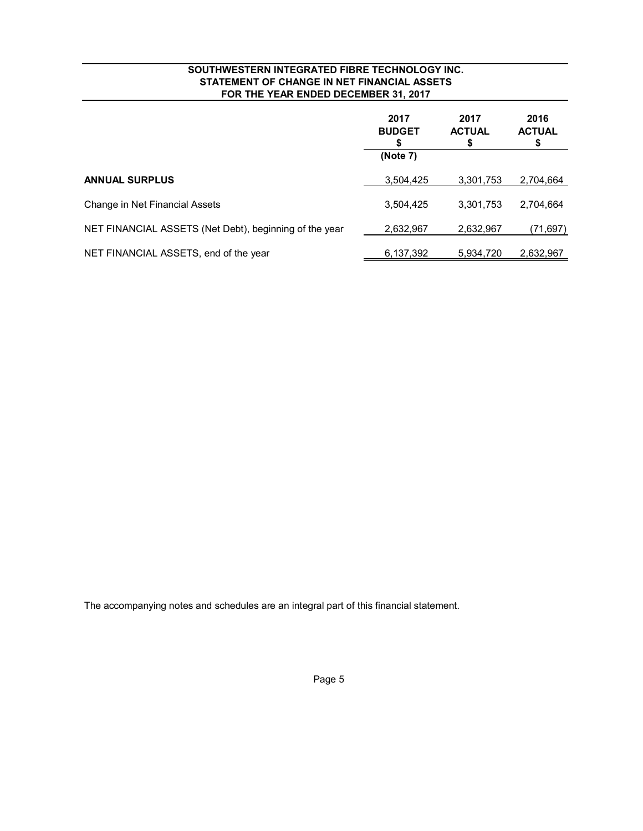## **SOUTHWESTERN INTEGRATED FIBRE TECHNOLOGY INC. STATEMENT OF CHANGE IN NET FINANCIAL ASSETS FOR THE YEAR ENDED DECEMBER 31, 2017**

|                                                        | 2017<br><b>BUDGET</b> | 2017<br><b>ACTUAL</b> | 2016<br><b>ACTUAL</b> |
|--------------------------------------------------------|-----------------------|-----------------------|-----------------------|
|                                                        | (Note 7)              |                       |                       |
| <b>ANNUAL SURPLUS</b>                                  | 3,504,425             | 3,301,753             | 2,704,664             |
| Change in Net Financial Assets                         | 3,504,425             | 3,301,753             | 2,704,664             |
| NET FINANCIAL ASSETS (Net Debt), beginning of the year | 2,632,967             | 2,632,967             | (71,697)              |
| NET FINANCIAL ASSETS, end of the year                  | 6,137,392             | 5,934,720             | 2,632,967             |

The accompanying notes and schedules are an integral part of this financial statement.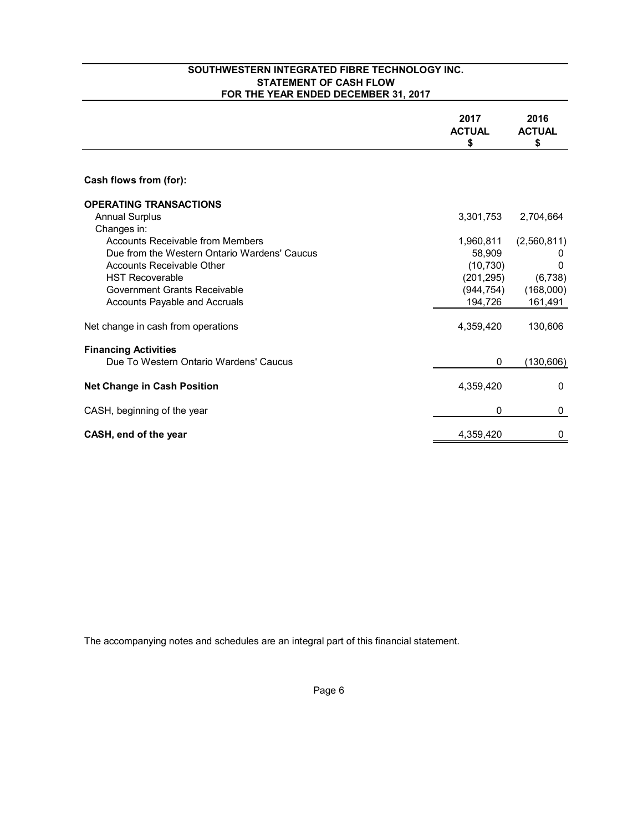# **SOUTHWESTERN INTEGRATED FIBRE TECHNOLOGY INC. STATEMENT OF CASH FLOW FOR THE YEAR ENDED DECEMBER 31, 2017**

|                                              | 2017<br><b>ACTUAL</b><br>\$ | 2016<br><b>ACTUAL</b><br>\$ |
|----------------------------------------------|-----------------------------|-----------------------------|
|                                              |                             |                             |
| Cash flows from (for):                       |                             |                             |
| <b>OPERATING TRANSACTIONS</b>                |                             |                             |
| <b>Annual Surplus</b>                        | 3,301,753                   | 2,704,664                   |
| Changes in:                                  |                             |                             |
| Accounts Receivable from Members             | 1,960,811                   | (2,560,811)                 |
| Due from the Western Ontario Wardens' Caucus | 58,909                      | 0                           |
| Accounts Receivable Other                    | (10, 730)                   | 0                           |
| <b>HST Recoverable</b>                       | (201, 295)                  | (6,738)                     |
| Government Grants Receivable                 | (944, 754)                  | (168,000)                   |
| Accounts Payable and Accruals                | 194,726                     | 161,491                     |
| Net change in cash from operations           | 4,359,420                   | 130,606                     |
| <b>Financing Activities</b>                  |                             |                             |
| Due To Western Ontario Wardens' Caucus       | 0                           | (130, 606)                  |
| <b>Net Change in Cash Position</b>           | 4,359,420                   | 0                           |
| CASH, beginning of the year                  | $\mathbf 0$                 | 0                           |
| CASH, end of the year                        | 4,359,420                   | 0                           |

The accompanying notes and schedules are an integral part of this financial statement.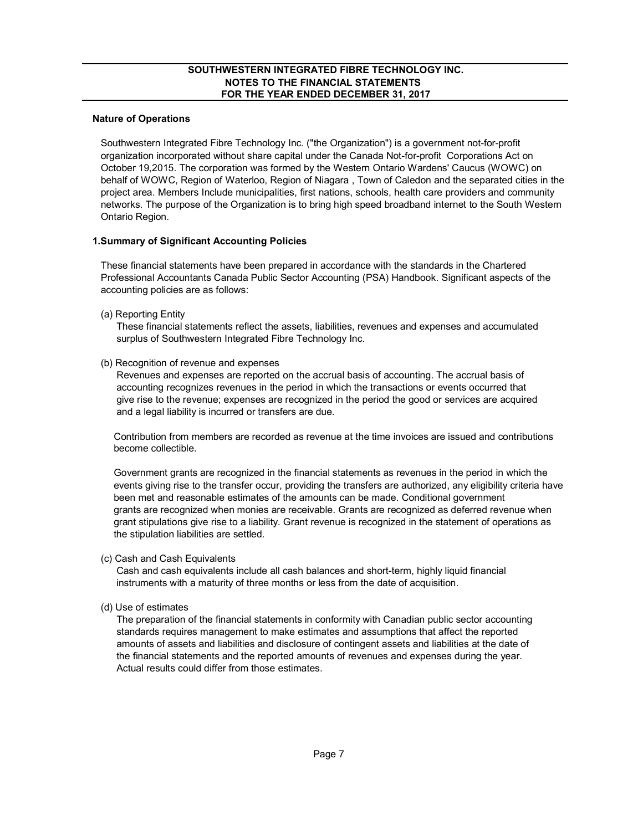### **SOUTHWESTERN INTEGRATED FIBRE TECHNOLOGY INC. NOTES TO THE FINANCIAL STATEMENTS FOR THE YEAR ENDED DECEMBER 31, 2017**

#### **Nature of Operations**

Southwestern Integrated Fibre Technology Inc. ("the Organization") is a government not-for-profit organization incorporated without share capital under the Canada Not-for-profit Corporations Act on October 19,2015. The corporation was formed by the Western Ontario Wardens' Caucus (WOWC) on behalf of WOWC, Region of Waterloo, Region of Niagara , Town of Caledon and the separated cities in the project area. Members Include municipalities, first nations, schools, health care providers and community networks. The purpose of the Organization is to bring high speed broadband internet to the South Western Ontario Region.

### **1.Summary of Significant Accounting Policies**

These financial statements have been prepared in accordance with the standards in the Chartered Professional Accountants Canada Public Sector Accounting (PSA) Handbook. Significant aspects of the accounting policies are as follows:

(a) Reporting Entity

'These financial statements reflect the assets, liabilities, revenues and expenses and accumulated surplus of Southwestern Integrated Fibre Technology Inc.

(b) Recognition of revenue and expenses

Revenues and expenses are reported on the accrual basis of accounting. The accrual basis of 'accounting recognizes revenues in the period in which the transactions or events occurred that 'give rise to the revenue; expenses are recognized in the period the good or services are acquired and a legal liability is incurred or transfers are due.

'Contribution from members are recorded as revenue at the time invoices are issued and contributions 'become collectible.

'Government grants are recognized in the financial statements as revenues in the period in which the events giving rise to the transfer occur, providing the transfers are authorized, any eligibility criteria have 'been met and reasonable estimates of the amounts can be made. Conditional government 'grants are recognized when monies are receivable. Grants are recognized as deferred revenue when 'grant stipulations give rise to a liability. Grant revenue is recognized in the statement of operations as the stipulation liabilities are settled.

(c) Cash and Cash Equivalents

'Cash and cash equivalents include all cash balances and short-term, highly liquid financial instruments with a maturity of three months or less from the date of acquisition.

(d) Use of estimates

'The preparation of the financial statements in conformity with Canadian public sector accounting standards requires management to make estimates and assumptions that affect the reported 'amounts of assets and liabilities and disclosure of contingent assets and liabilities at the date of 'the financial statements and the reported amounts of revenues and expenses during the year. Actual results could differ from those estimates.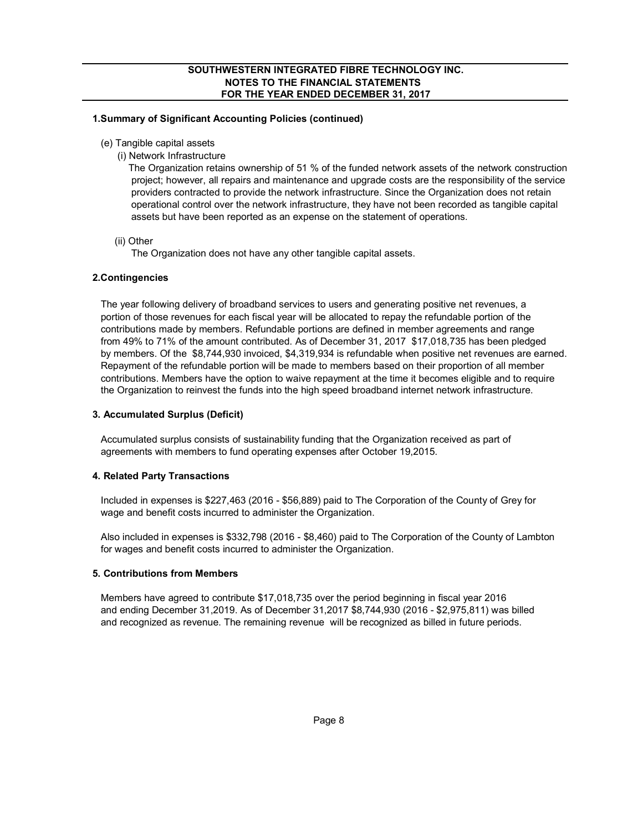#### **SOUTHWESTERN INTEGRATED FIBRE TECHNOLOGY INC. NOTES TO THE FINANCIAL STATEMENTS FOR THE YEAR ENDED DECEMBER 31, 2017**

#### **1.Summary of Significant Accounting Policies (continued)**

- (e) Tangible capital assets
	- (i) Network Infrastructure

The Organization retains ownership of 51 % of the funded network assets of the network construction project; however, all repairs and maintenance and upgrade costs are the responsibility of the service providers contracted to provide the network infrastructure. Since the Organization does not retain operational control over the network infrastructure, they have not been recorded as tangible capital assets but have been reported as an expense on the statement of operations.

(ii) Other

The Organization does not have any other tangible capital assets.

#### **2.Contingencies**

The year following delivery of broadband services to users and generating positive net revenues, a portion of those revenues for each fiscal year will be allocated to repay the refundable portion of the contributions made by members. Refundable portions are defined in member agreements and range from 49% to 71% of the amount contributed. As of December 31, 2017 \$17,018,735 has been pledged by members. Of the \$8,744,930 invoiced, \$4,319,934 is refundable when positive net revenues are earned. Repayment of the refundable portion will be made to members based on their proportion of all member contributions. Members have the option to waive repayment at the time it becomes eligible and to require the Organization to reinvest the funds into the high speed broadband internet network infrastructure.

#### **3. Accumulated Surplus (Deficit)**

Accumulated surplus consists of sustainability funding that the Organization received as part of agreements with members to fund operating expenses after October 19,2015.

### **4. Related Party Transactions**

Included in expenses is \$227,463 (2016 - \$56,889) paid to The Corporation of the County of Grey for wage and benefit costs incurred to administer the Organization.

Also included in expenses is \$332,798 (2016 - \$8,460) paid to The Corporation of the County of Lambton for wages and benefit costs incurred to administer the Organization.

#### **5. Contributions from Members**

Members have agreed to contribute \$17,018,735 over the period beginning in fiscal year 2016 and ending December 31,2019. As of December 31,2017 \$8,744,930 (2016 - \$2,975,811) was billed and recognized as revenue. The remaining revenue will be recognized as billed in future periods.